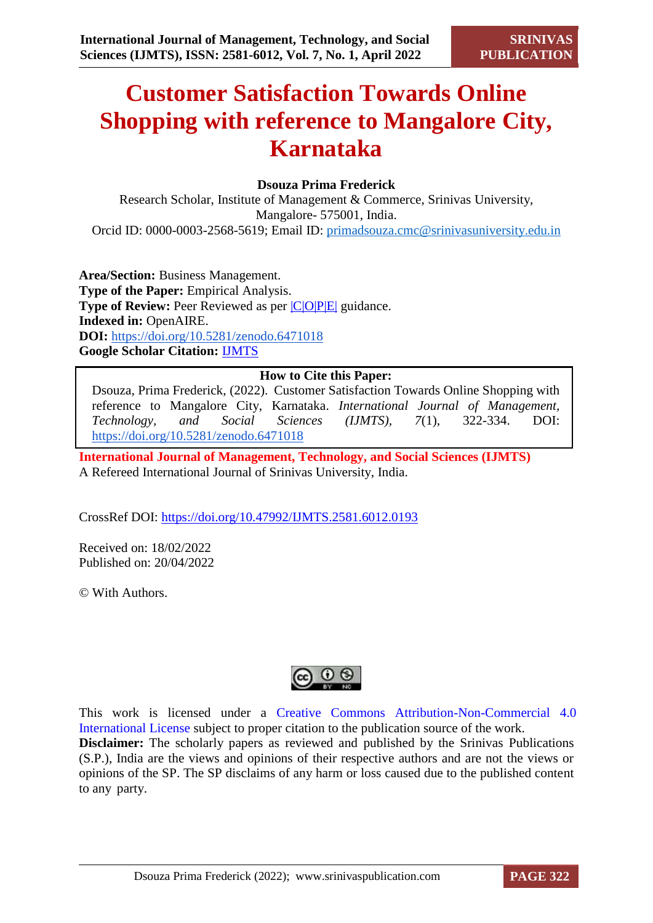# **Customer Satisfaction Towards Online Shopping with reference to Mangalore City, Karnataka**

# **Dsouza Prima Frederick**

Research Scholar, Institute of Management & Commerce, Srinivas University, Mangalore- 575001, India. Orcid ID: 0000-0003-2568-5619; Email ID: [primadsouza.cmc@srinivasuniversity.edu.in](mailto:primadsouza.cmc@srinivasuniversity.edu.in)

**Area/Section:** Business Management. **Type of the Paper:** Empirical Analysis. **Type of Review:** Peer Reviewed as per  $|C|O||P|E|$  guidance. **Indexed in:** OpenAIRE. **DOI:** <https://doi.org/10.5281/zenodo.6471018> **Google Scholar Citation:** [IJMTS](https://scholar.google.com/citations?user=bphF0BQAAAAJ)

# **How to Cite this Paper:**

Dsouza, Prima Frederick, (2022). Customer Satisfaction Towards Online Shopping with reference to Mangalore City, Karnataka. *International Journal of Management, Technology, and Social Sciences (IJMTS), 7*(1), 322-334. DOI: <https://doi.org/10.5281/zenodo.6471018>

**International Journal of Management, Technology, and Social Sciences (IJMTS)** A Refereed International Journal of Srinivas University, India.

CrossRef DOI: [https://doi.org/10.47992/IJMTS.2581.6012.0193](https://search.crossref.org/?q=10.47992%2FIJMTS.2581.6012.0193&from_ui=yes)

Received on: 18/02/2022 Published on: 20/04/2022

© With Authors.



This work is licensed under a Creative Commons Attribution-Non-Commercial 4.0 International License subject to proper citation to the publication source of the work. **Disclaimer:** The scholarly papers as reviewed and published by the Srinivas Publications (S.P.), India are the views and opinions of their respective authors and are not the views or opinions of the SP. The SP disclaims of any harm or loss caused due to the published content to any party.

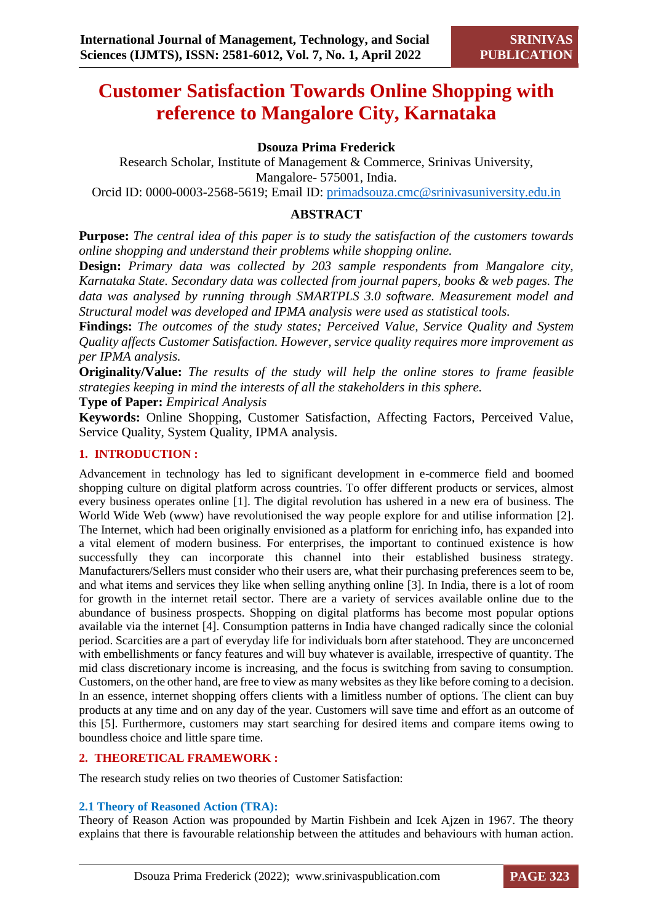# **Customer Satisfaction Towards Online Shopping with reference to Mangalore City, Karnataka**

# **Dsouza Prima Frederick**

Research Scholar, Institute of Management & Commerce, Srinivas University, Mangalore- 575001, India.

Orcid ID: 0000-0003-2568-5619; Email ID: [primadsouza.cmc@srinivasuniversity.edu.in](mailto:primadsouza.cmc@srinivasuniversity.edu.in)

# **ABSTRACT**

**Purpose:** *The central idea of this paper is to study the satisfaction of the customers towards online shopping and understand their problems while shopping online.*

**Design:** *Primary data was collected by 203 sample respondents from Mangalore city, Karnataka State. Secondary data was collected from journal papers, books & web pages. The data was analysed by running through SMARTPLS 3.0 software. Measurement model and Structural model was developed and IPMA analysis were used as statistical tools.* 

**Findings:** *The outcomes of the study states; Perceived Value, Service Quality and System Quality affects Customer Satisfaction. However, service quality requires more improvement as per IPMA analysis.*

**Originality/Value:** *The results of the study will help the online stores to frame feasible strategies keeping in mind the interests of all the stakeholders in this sphere.*

**Type of Paper:** *Empirical Analysis*

**Keywords:** Online Shopping, Customer Satisfaction, Affecting Factors, Perceived Value, Service Quality, System Quality, IPMA analysis.

# **1. INTRODUCTION :**

Advancement in technology has led to significant development in e-commerce field and boomed shopping culture on digital platform across countries. To offer different products or services, almost every business operates online [1]. The digital revolution has ushered in a new era of business. The World Wide Web (www) have revolutionised the way people explore for and utilise information [2]. The Internet, which had been originally envisioned as a platform for enriching info, has expanded into a vital element of modern business. For enterprises, the important to continued existence is how successfully they can incorporate this channel into their established business strategy. Manufacturers/Sellers must consider who their users are, what their purchasing preferences seem to be, and what items and services they like when selling anything online [3]. In India, there is a lot of room for growth in the internet retail sector. There are a variety of services available online due to the abundance of business prospects. Shopping on digital platforms has become most popular options available via the internet [4]. Consumption patterns in India have changed radically since the colonial period. Scarcities are a part of everyday life for individuals born after statehood. They are unconcerned with embellishments or fancy features and will buy whatever is available, irrespective of quantity. The mid class discretionary income is increasing, and the focus is switching from saving to consumption. Customers, on the other hand, are free to view as many websites as they like before coming to a decision. In an essence, internet shopping offers clients with a limitless number of options. The client can buy products at any time and on any day of the year. Customers will save time and effort as an outcome of this [5]. Furthermore, customers may start searching for desired items and compare items owing to boundless choice and little spare time.

# **2. THEORETICAL FRAMEWORK :**

The research study relies on two theories of Customer Satisfaction:

# **2.1 Theory of Reasoned Action (TRA):**

Theory of Reason Action was propounded by Martin Fishbein and Icek Ajzen in 1967. The theory explains that there is favourable relationship between the attitudes and behaviours with human action.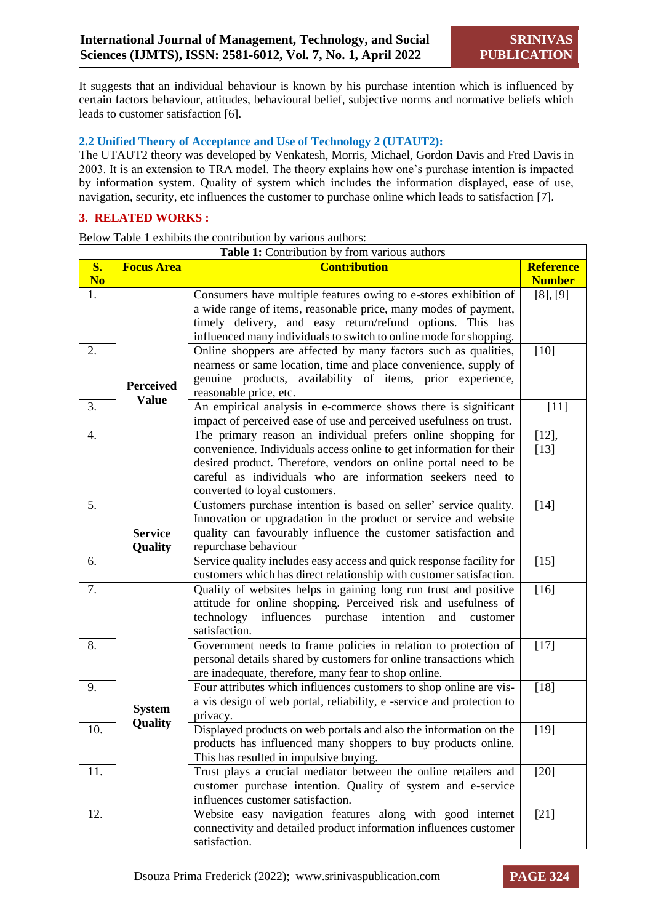It suggests that an individual behaviour is known by his purchase intention which is influenced by certain factors behaviour, attitudes, behavioural belief, subjective norms and normative beliefs which leads to customer satisfaction [6].

#### **2.2 Unified Theory of Acceptance and Use of Technology 2 (UTAUT2):**

The UTAUT2 theory was developed by Venkatesh, Morris, Michael, Gordon Davis and Fred Davis in 2003. It is an extension to TRA model. The theory explains how one's purchase intention is impacted by information system. Quality of system which includes the information displayed, ease of use, navigation, security, etc influences the customer to purchase online which leads to satisfaction [7].

# **3. RELATED WORKS :**

Below Table 1 exhibits the contribution by various authors:

|                | Table 1: Contribution by from various authors |                                                                                                                               |                  |  |  |  |  |
|----------------|-----------------------------------------------|-------------------------------------------------------------------------------------------------------------------------------|------------------|--|--|--|--|
| <b>S.</b>      | <b>Focus Area</b>                             | <b>Contribution</b>                                                                                                           | <b>Reference</b> |  |  |  |  |
| N <sub>o</sub> |                                               |                                                                                                                               | <b>Number</b>    |  |  |  |  |
| 1.             |                                               | Consumers have multiple features owing to e-stores exhibition of                                                              | [8], [9]         |  |  |  |  |
|                |                                               | a wide range of items, reasonable price, many modes of payment,                                                               |                  |  |  |  |  |
|                |                                               | timely delivery, and easy return/refund options. This has                                                                     |                  |  |  |  |  |
|                |                                               | influenced many individuals to switch to online mode for shopping.                                                            |                  |  |  |  |  |
| 2.             |                                               | Online shoppers are affected by many factors such as qualities,                                                               | $[10]$           |  |  |  |  |
|                |                                               | nearness or same location, time and place convenience, supply of                                                              |                  |  |  |  |  |
|                | <b>Perceived</b>                              | genuine products, availability of items, prior experience,                                                                    |                  |  |  |  |  |
|                | <b>Value</b>                                  | reasonable price, etc.                                                                                                        |                  |  |  |  |  |
| 3.             |                                               | An empirical analysis in e-commerce shows there is significant                                                                | $[11]$           |  |  |  |  |
|                |                                               | impact of perceived ease of use and perceived usefulness on trust.                                                            |                  |  |  |  |  |
| 4.             |                                               | The primary reason an individual prefers online shopping for                                                                  | $[12]$ ,         |  |  |  |  |
|                |                                               | convenience. Individuals access online to get information for their                                                           | $[13]$           |  |  |  |  |
|                |                                               | desired product. Therefore, vendors on online portal need to be<br>careful as individuals who are information seekers need to |                  |  |  |  |  |
|                |                                               | converted to loyal customers.                                                                                                 |                  |  |  |  |  |
| 5.             |                                               | Customers purchase intention is based on seller' service quality.                                                             | $[14]$           |  |  |  |  |
|                |                                               | Innovation or upgradation in the product or service and website                                                               |                  |  |  |  |  |
|                | <b>Service</b>                                | quality can favourably influence the customer satisfaction and                                                                |                  |  |  |  |  |
|                | Quality                                       | repurchase behaviour                                                                                                          |                  |  |  |  |  |
| 6.             |                                               | Service quality includes easy access and quick response facility for                                                          | $[15]$           |  |  |  |  |
|                |                                               | customers which has direct relationship with customer satisfaction.                                                           |                  |  |  |  |  |
| 7.             |                                               | Quality of websites helps in gaining long run trust and positive                                                              | $[16]$           |  |  |  |  |
|                |                                               | attitude for online shopping. Perceived risk and usefulness of                                                                |                  |  |  |  |  |
|                |                                               | technology<br>influences purchase<br>intention<br>and<br>customer                                                             |                  |  |  |  |  |
|                |                                               | satisfaction.                                                                                                                 |                  |  |  |  |  |
| 8.             |                                               | Government needs to frame policies in relation to protection of                                                               | $[17]$           |  |  |  |  |
|                |                                               | personal details shared by customers for online transactions which                                                            |                  |  |  |  |  |
|                |                                               | are inadequate, therefore, many fear to shop online.                                                                          |                  |  |  |  |  |
| 9.             |                                               | Four attributes which influences customers to shop online are vis-                                                            | $[18]$           |  |  |  |  |
|                | <b>System</b>                                 | a vis design of web portal, reliability, e -service and protection to                                                         |                  |  |  |  |  |
|                | Quality                                       | privacy.                                                                                                                      |                  |  |  |  |  |
| 10.            |                                               | Displayed products on web portals and also the information on the                                                             | $[19]$           |  |  |  |  |
|                |                                               | products has influenced many shoppers to buy products online.                                                                 |                  |  |  |  |  |
|                |                                               | This has resulted in impulsive buying.                                                                                        |                  |  |  |  |  |
| 11.            |                                               | Trust plays a crucial mediator between the online retailers and                                                               | $[20]$           |  |  |  |  |
|                |                                               | customer purchase intention. Quality of system and e-service<br>influences customer satisfaction.                             |                  |  |  |  |  |
| 12.            |                                               | Website easy navigation features along with good internet                                                                     | $[21]$           |  |  |  |  |
|                |                                               | connectivity and detailed product information influences customer                                                             |                  |  |  |  |  |
|                |                                               | satisfaction.                                                                                                                 |                  |  |  |  |  |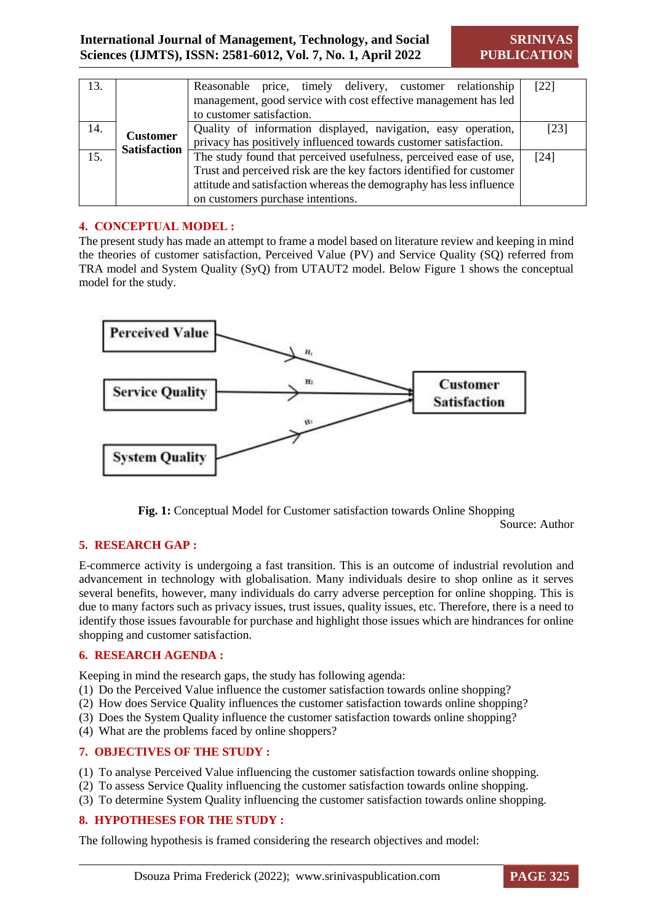| 13. |                     | Reasonable price, timely delivery, customer relationship<br>management, good service with cost effective management has led<br>to customer satisfaction.                                                                                                      | [22] |  |  |
|-----|---------------------|---------------------------------------------------------------------------------------------------------------------------------------------------------------------------------------------------------------------------------------------------------------|------|--|--|
| 14. | <b>Customer</b>     | Quality of information displayed, navigation, easy operation,<br>[23]<br>privacy has positively influenced towards customer satisfaction.                                                                                                                     |      |  |  |
| 15. | <b>Satisfaction</b> | The study found that perceived usefulness, perceived ease of use,<br>[24]<br>Trust and perceived risk are the key factors identified for customer<br>attitude and satisfaction whereas the demography has less influence<br>on customers purchase intentions. |      |  |  |

# **4. CONCEPTUAL MODEL :**

The present study has made an attempt to frame a model based on literature review and keeping in mind the theories of customer satisfaction, Perceived Value (PV) and Service Quality (SQ) referred from TRA model and System Quality (SyQ) from UTAUT2 model. Below Figure 1 shows the conceptual model for the study.



**Fig. 1:** Conceptual Model for Customer satisfaction towards Online Shopping

Source: Author

# **5. RESEARCH GAP :**

E-commerce activity is undergoing a fast transition. This is an outcome of industrial revolution and advancement in technology with globalisation. Many individuals desire to shop online as it serves several benefits, however, many individuals do carry adverse perception for online shopping. This is due to many factors such as privacy issues, trust issues, quality issues, etc. Therefore, there is a need to identify those issues favourable for purchase and highlight those issues which are hindrances for online shopping and customer satisfaction.

#### **6. RESEARCH AGENDA :**

Keeping in mind the research gaps, the study has following agenda:

- (1) Do the Perceived Value influence the customer satisfaction towards online shopping?
- (2) How does Service Quality influences the customer satisfaction towards online shopping?
- (3) Does the System Quality influence the customer satisfaction towards online shopping?
- (4) What are the problems faced by online shoppers?

# **7. OBJECTIVES OF THE STUDY :**

- (1) To analyse Perceived Value influencing the customer satisfaction towards online shopping.
- (2) To assess Service Quality influencing the customer satisfaction towards online shopping.
- (3) To determine System Quality influencing the customer satisfaction towards online shopping.

# **8. HYPOTHESES FOR THE STUDY :**

The following hypothesis is framed considering the research objectives and model: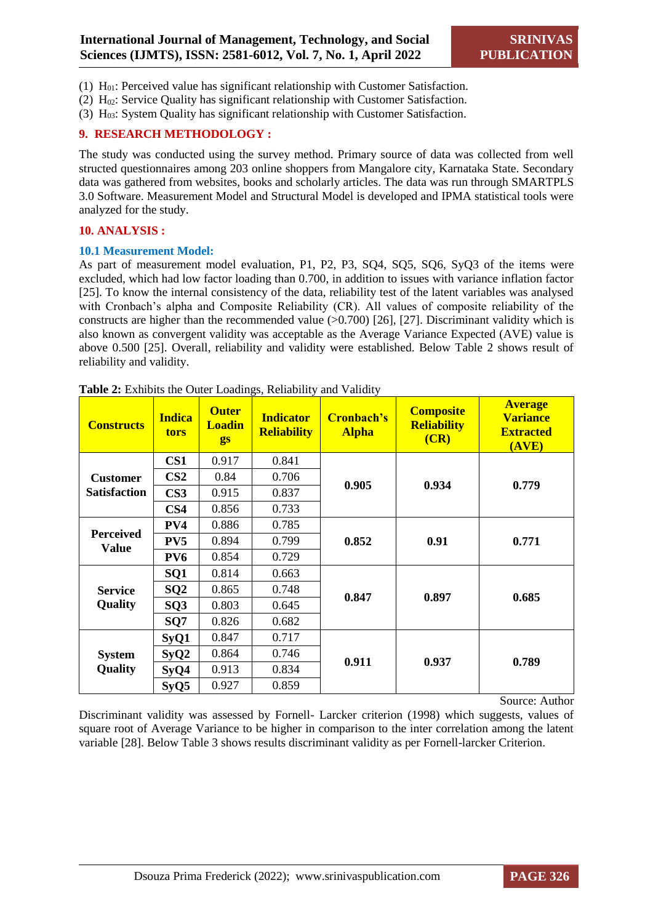- (1) H01: Perceived value has significant relationship with Customer Satisfaction.
- (2)  $H_{02}$ : Service Quality has significant relationship with Customer Satisfaction.
- (3)  $H<sub>03</sub>$ : System Quality has significant relationship with Customer Satisfaction.

# **9. RESEARCH METHODOLOGY :**

The study was conducted using the survey method. Primary source of data was collected from well structed questionnaires among 203 online shoppers from Mangalore city, Karnataka State. Secondary data was gathered from websites, books and scholarly articles. The data was run through SMARTPLS 3.0 Software. Measurement Model and Structural Model is developed and IPMA statistical tools were analyzed for the study.

#### **10. ANALYSIS :**

#### **10.1 Measurement Model:**

As part of measurement model evaluation, P1, P2, P3, SQ4, SQ5, SQ6, SyQ3 of the items were excluded, which had low factor loading than 0.700, in addition to issues with variance inflation factor [25]. To know the internal consistency of the data, reliability test of the latent variables was analysed with Cronbach's alpha and Composite Reliability (CR). All values of composite reliability of the constructs are higher than the recommended value  $(>0.700)$  [26], [27]. Discriminant validity which is also known as convergent validity was acceptable as the Average Variance Expected (AVE) value is above 0.500 [25]. Overall, reliability and validity were established. Below Table 2 shows result of reliability and validity.

| <b>Constructs</b>                | <b>Indica</b><br><b>tors</b> | <b>Outer</b><br><b>Loadin</b><br>gs | <b>Indicator</b><br><b>Reliability</b> | Cronbach's<br><b>Alpha</b> | <b>Composite</b><br><b>Reliability</b><br>(CR) | <b>Average</b><br><b>Variance</b><br><b>Extracted</b><br>(AVE) |  |
|----------------------------------|------------------------------|-------------------------------------|----------------------------------------|----------------------------|------------------------------------------------|----------------------------------------------------------------|--|
|                                  | CS <sub>1</sub>              | 0.917                               | 0.841                                  |                            | 0.934                                          |                                                                |  |
| <b>Customer</b>                  | CS <sub>2</sub>              | 0.84                                | 0.706                                  | 0.905                      |                                                | 0.779                                                          |  |
| <b>Satisfaction</b>              | CS <sub>3</sub>              | 0.915                               | 0.837                                  |                            |                                                |                                                                |  |
|                                  | CS <sub>4</sub>              | 0.856                               | 0.733                                  |                            |                                                |                                                                |  |
|                                  | PV4                          | 0.886                               | 0.785                                  | 0.852                      |                                                |                                                                |  |
| <b>Perceived</b><br><b>Value</b> | PV <sub>5</sub>              | 0.894                               | 0.799                                  |                            | 0.91                                           | 0.771                                                          |  |
|                                  | PV <sub>6</sub>              | 0.854                               | 0.729                                  |                            |                                                |                                                                |  |
|                                  | SQ1                          | 0.814                               | 0.663                                  | 0.847                      | 0.897                                          |                                                                |  |
| <b>Service</b>                   | SQ2                          | 0.865                               | 0.748                                  |                            |                                                | 0.685                                                          |  |
| Quality                          | SQ <sub>3</sub>              | 0.803                               | 0.645                                  |                            |                                                |                                                                |  |
|                                  | SQ7                          | 0.826                               | 0.682                                  |                            |                                                |                                                                |  |
|                                  | SyQ1                         | 0.847                               | 0.717                                  |                            | 0.937                                          |                                                                |  |
| <b>System</b>                    | SyQ2                         | 0.864                               | 0.746                                  | 0.911                      |                                                | 0.789                                                          |  |
| Quality                          | SyQ4                         | 0.913                               | 0.834                                  |                            |                                                |                                                                |  |
|                                  | SyQ5                         | 0.927                               | 0.859                                  |                            |                                                |                                                                |  |

**Table 2:** Exhibits the Outer Loadings, Reliability and Validity

Source: Author

Discriminant validity was assessed by Fornell- Larcker criterion (1998) which suggests, values of square root of Average Variance to be higher in comparison to the inter correlation among the latent variable [28]. Below Table 3 shows results discriminant validity as per Fornell-larcker Criterion.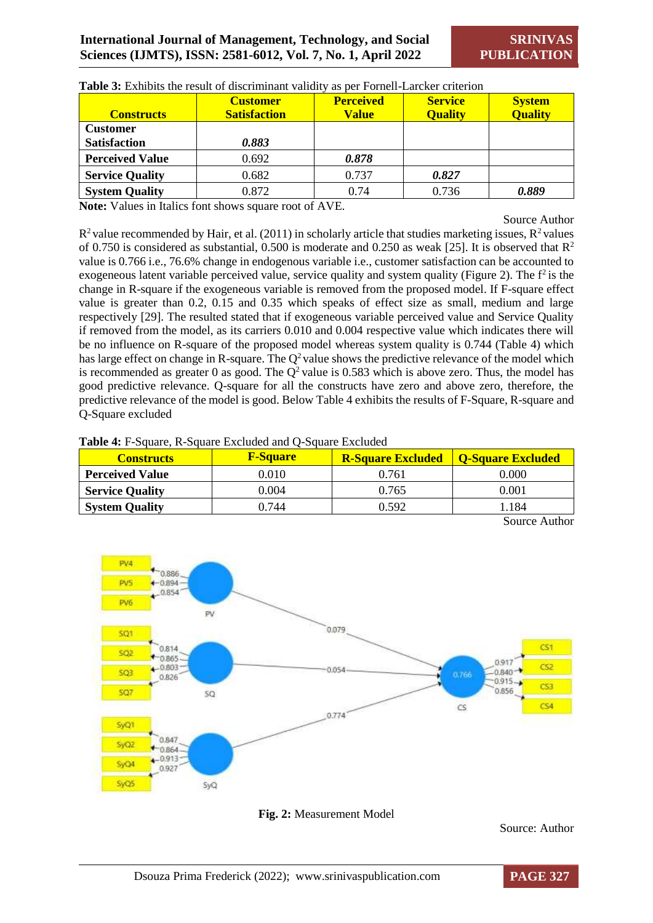**SRINIVAS PUBLICATION**

| <b>Constructs</b>      | <b>Customer</b><br><b>Satisfaction</b> | <b>Perceived</b><br><b>Value</b> | <b>Service</b><br><b>Quality</b> | <b>System</b><br><b>Quality</b> |
|------------------------|----------------------------------------|----------------------------------|----------------------------------|---------------------------------|
| <b>Customer</b>        |                                        |                                  |                                  |                                 |
| <b>Satisfaction</b>    | 0.883                                  |                                  |                                  |                                 |
| <b>Perceived Value</b> | 0.692                                  | 0.878                            |                                  |                                 |
| <b>Service Quality</b> | 0.682                                  | 0.737                            | 0.827                            |                                 |
| <b>System Quality</b>  | 0.872                                  | 0.74                             | 0.736                            | 0.889                           |

**Table 3:** Exhibits the result of discriminant validity as per Fornell-Larcker criterion

**Note:** Values in Italics font shows square root of AVE.

Source Author

 $R<sup>2</sup>$  value recommended by Hair, et al. (2011) in scholarly article that studies marketing issues,  $R<sup>2</sup>$  values of 0.750 is considered as substantial, 0.500 is moderate and 0.250 as weak [25]. It is observed that  $\mathbb{R}^2$ value is 0.766 i.e., 76.6% change in endogenous variable i.e., customer satisfaction can be accounted to exogeneous latent variable perceived value, service quality and system quality (Figure 2). The  $f<sup>2</sup>$  is the change in R-square if the exogeneous variable is removed from the proposed model. If F-square effect value is greater than 0.2, 0.15 and 0.35 which speaks of effect size as small, medium and large respectively [29]. The resulted stated that if exogeneous variable perceived value and Service Quality if removed from the model, as its carriers 0.010 and 0.004 respective value which indicates there will be no influence on R-square of the proposed model whereas system quality is 0.744 (Table 4) which has large effect on change in R-square. The  $Q^2$  value shows the predictive relevance of the model which is recommended as greater 0 as good. The  $Q^2$  value is 0.583 which is above zero. Thus, the model has good predictive relevance. Q-square for all the constructs have zero and above zero, therefore, the predictive relevance of the model is good. Below Table 4 exhibits the results of F-Square, R-square and Q-Square excluded

| <b>Constructs</b>      | <b>F-Square</b> | <b>R-Square Excluded</b> | <b>O-Square Excluded</b> |
|------------------------|-----------------|--------------------------|--------------------------|
| <b>Perceived Value</b> | 0.010           | 0.761                    | $0.000\,$                |
| <b>Service Quality</b> | 0.004           | 0.765                    | 0.001                    |
| <b>System Quality</b>  | ).744           | 0.592                    | . . 184                  |

**Table 4:** F-Square, R-Square Excluded and Q-Square Excluded

Source Author



**Fig. 2:** Measurement Model

Source: Author

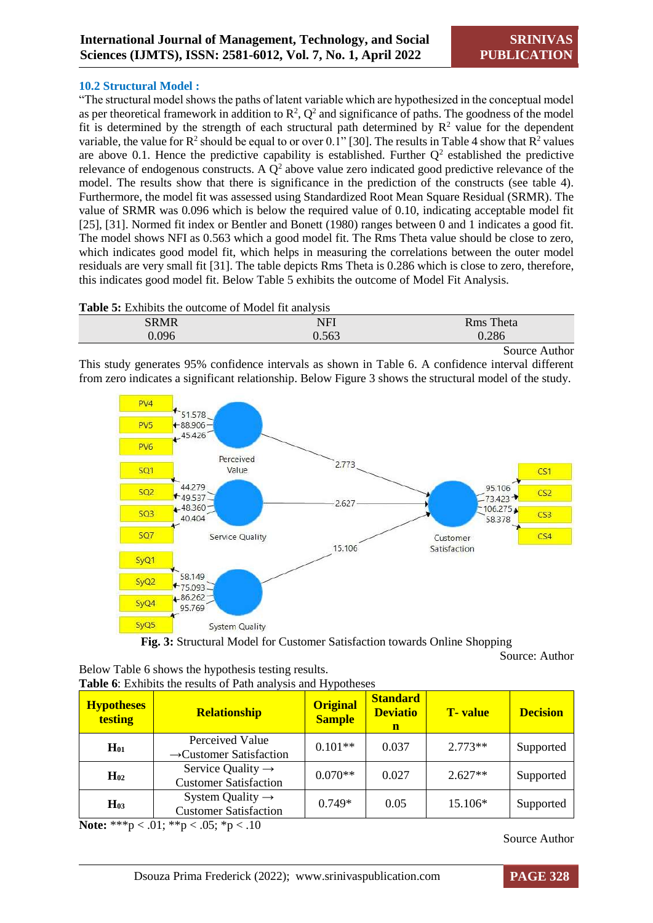#### **10.2 Structural Model :**

"The structural model shows the paths of latent variable which are hypothesized in the conceptual model as per theoretical framework in addition to  $\mathbb{R}^2$ ,  $\mathbb{Q}^2$  and significance of paths. The goodness of the model fit is determined by the strength of each structural path determined by  $\mathbb{R}^2$  value for the dependent variable, the value for  $\mathbb{R}^2$  should be equal to or over 0.1" [30]. The results in Table 4 show that  $\mathbb{R}^2$  values are above 0.1. Hence the predictive capability is established. Further  $Q^2$  established the predictive relevance of endogenous constructs. A  $Q^2$  above value zero indicated good predictive relevance of the model. The results show that there is significance in the prediction of the constructs (see table 4). Furthermore, the model fit was assessed using Standardized Root Mean Square Residual (SRMR). The value of SRMR was 0.096 which is below the required value of 0.10, indicating acceptable model fit [25], [31]. Normed fit index or Bentler and Bonett (1980) ranges between 0 and 1 indicates a good fit. The model shows NFI as 0.563 which a good model fit. The Rms Theta value should be close to zero, which indicates good model fit, which helps in measuring the correlations between the outer model residuals are very small fit [31]. The table depicts Rms Theta is 0.286 which is close to zero, therefore, this indicates good model fit. Below Table 5 exhibits the outcome of Model Fit Analysis.

**Table 5:** Exhibits the outcome of Model fit analysis

| <b>SRMR</b> | NFI   | Theta<br><b>Rms</b> |
|-------------|-------|---------------------|
| 0.096       | 0.563 | 0.286               |
|             |       | Source Author       |

This study generates 95% confidence intervals as shown in Table 6. A confidence interval different from zero indicates a significant relationship. Below Figure 3 shows the structural model of the study.



**Fig. 3:** Structural Model for Customer Satisfaction towards Online Shopping

Source: Author

| <b>Hypotheses</b><br><b>testing</b> | <b>Relationship</b>                                           | <b>Original</b><br><b>Sample</b> | <b>Standard</b><br><b>Deviatio</b><br>$\mathbf n$ | <b>T</b> -value | <b>Decision</b> |
|-------------------------------------|---------------------------------------------------------------|----------------------------------|---------------------------------------------------|-----------------|-----------------|
| $H_{01}$                            | Perceived Value<br>$\rightarrow$ Customer Satisfaction        | $0.101**$                        | 0.037                                             | $2.773**$       | Supported       |
| $H_{02}$                            | Service Quality $\rightarrow$<br><b>Customer Satisfaction</b> | $0.070**$                        | 0.027                                             | $2.627**$       | Supported       |
| $H_{03}$                            | System Quality $\rightarrow$<br><b>Customer Satisfaction</b>  | $0.749*$                         | 0.05                                              | 15.106*         | Supported       |

**Note:** \*\*\*p < .01; \*\*p < .05; \*p < .10

Below Table 6 shows the hypothesis testing results.

**Table 6**: Exhibits the results of Path analysis and Hypotheses

Source Author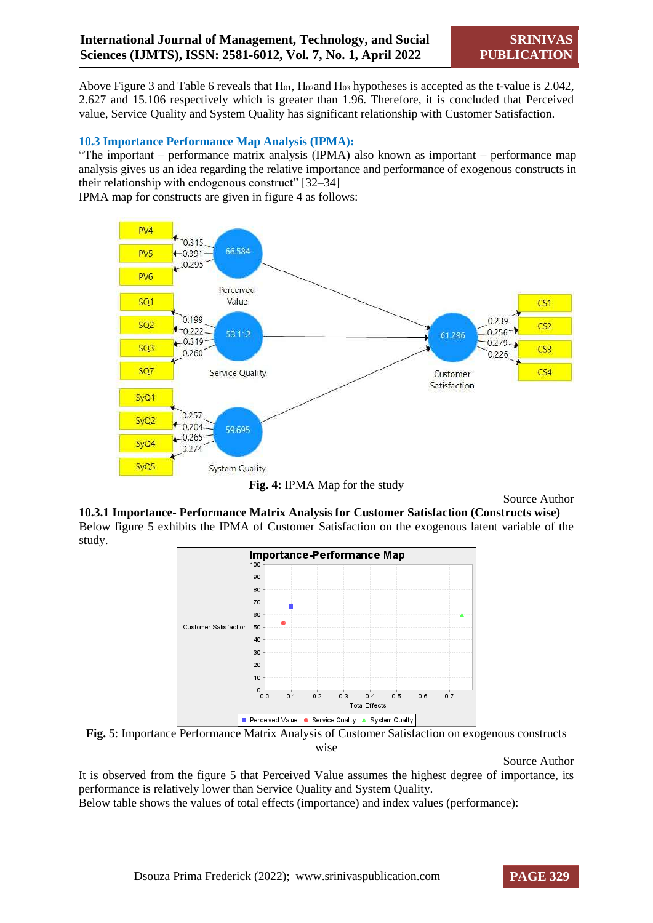Above Figure 3 and Table 6 reveals that  $H_{01}$ ,  $H_{02}$ and  $H_{03}$  hypotheses is accepted as the t-value is 2.042, 2.627 and 15.106 respectively which is greater than 1.96. Therefore, it is concluded that Perceived value, Service Quality and System Quality has significant relationship with Customer Satisfaction.

#### **10.3 Importance Performance Map Analysis (IPMA):**

"The important – performance matrix analysis (IPMA) also known as important – performance map analysis gives us an idea regarding the relative importance and performance of exogenous constructs in their relationship with endogenous construct" [32–34]

IPMA map for constructs are given in figure 4 as follows:





Source Author

**10.3.1 Importance- Performance Matrix Analysis for Customer Satisfaction (Constructs wise)**  Below figure 5 exhibits the IPMA of Customer Satisfaction on the exogenous latent variable of the study.



**Fig. 5**: Importance Performance Matrix Analysis of Customer Satisfaction on exogenous constructs wise

Source Author

It is observed from the figure 5 that Perceived Value assumes the highest degree of importance, its performance is relatively lower than Service Quality and System Quality.

Below table shows the values of total effects (importance) and index values (performance):

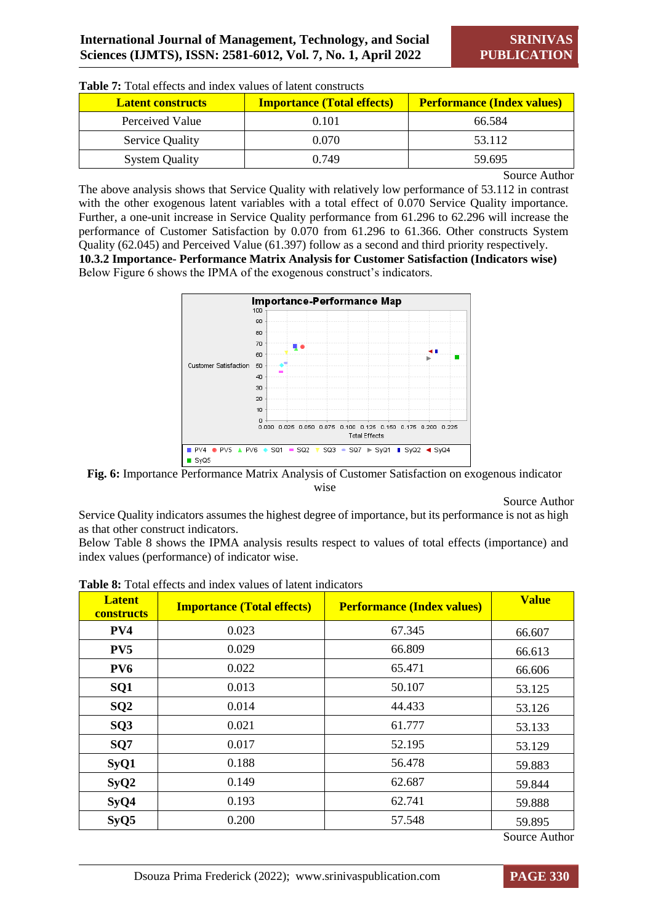| <b>Latent constructs</b> | <b>Importance (Total effects)</b> | <b>Performance (Index values)</b> |
|--------------------------|-----------------------------------|-----------------------------------|
| Perceived Value          | 0.101                             | 66.584                            |
| <b>Service Quality</b>   | 0.070                             | 53.112                            |
| <b>System Quality</b>    | 0.749                             | 59.695                            |

**Table 7:** Total effects and index values of latent constructs

Source Author

The above analysis shows that Service Quality with relatively low performance of 53.112 in contrast with the other exogenous latent variables with a total effect of 0.070 Service Ouality importance. Further, a one-unit increase in Service Quality performance from 61.296 to 62.296 will increase the performance of Customer Satisfaction by 0.070 from 61.296 to 61.366. Other constructs System Quality (62.045) and Perceived Value (61.397) follow as a second and third priority respectively. **10.3.2 Importance- Performance Matrix Analysis for Customer Satisfaction (Indicators wise)**  Below Figure 6 shows the IPMA of the exogenous construct's indicators.



**Fig. 6:** Importance Performance Matrix Analysis of Customer Satisfaction on exogenous indicator wise

Source Author

Service Quality indicators assumes the highest degree of importance, but its performance is not as high as that other construct indicators.

Below Table 8 shows the IPMA analysis results respect to values of total effects (importance) and index values (performance) of indicator wise.

| <b>Latent</b><br><b>constructs</b> | <b>Importance (Total effects)</b> | <b>Performance (Index values)</b> | <b>Value</b>     |
|------------------------------------|-----------------------------------|-----------------------------------|------------------|
| PV4                                | 0.023                             | 67.345                            | 66.607           |
| PV5                                | 0.029                             | 66.809                            | 66.613           |
| PV <sub>6</sub>                    | 0.022                             | 65.471                            | 66.606           |
| SQ1                                | 0.013                             | 50.107                            | 53.125           |
| SQ2                                | 0.014                             | 44.433                            | 53.126           |
| SQ3                                | 0.021                             | 61.777                            | 53.133           |
| SQ7                                | 0.017                             | 52.195                            | 53.129           |
| SyQ1                               | 0.188                             | 56.478                            | 59.883           |
| SyQ2                               | 0.149                             | 62.687                            | 59.844           |
| SyQ4                               | 0.193                             | 62.741                            | 59.888           |
| SyQ5                               | 0.200                             | 57.548                            | 59.895<br>$\sim$ |

**Table 8:** Total effects and index values of latent indicators

Source Author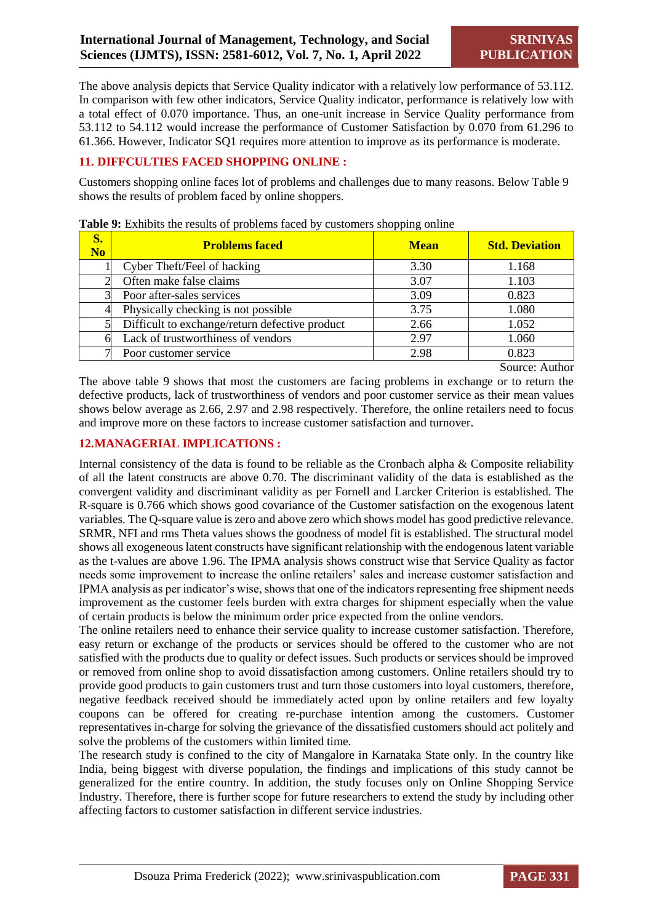The above analysis depicts that Service Quality indicator with a relatively low performance of 53.112. In comparison with few other indicators, Service Quality indicator, performance is relatively low with a total effect of 0.070 importance. Thus, an one-unit increase in Service Quality performance from 53.112 to 54.112 would increase the performance of Customer Satisfaction by 0.070 from 61.296 to 61.366. However, Indicator SQ1 requires more attention to improve as its performance is moderate.

# **11. DIFFCULTIES FACED SHOPPING ONLINE :**

Customers shopping online faces lot of problems and challenges due to many reasons. Below Table 9 shows the results of problem faced by online shoppers.

| S.<br>N <sub>o</sub> | <b>Problems faced</b>                          | <b>Mean</b> | <b>Std. Deviation</b> |
|----------------------|------------------------------------------------|-------------|-----------------------|
|                      | Cyber Theft/Feel of hacking                    | 3.30        | 1.168                 |
|                      | Often make false claims                        | 3.07        | 1.103                 |
|                      | Poor after-sales services                      | 3.09        | 0.823                 |
|                      | Physically checking is not possible            | 3.75        | 1.080                 |
|                      | Difficult to exchange/return defective product | 2.66        | 1.052                 |
|                      | Lack of trustworthiness of vendors             | 2.97        | 1.060                 |
|                      | Poor customer service                          | 2.98        | 0.823                 |

**Table 9:** Exhibits the results of problems faced by customers shopping online

Source: Author

The above table 9 shows that most the customers are facing problems in exchange or to return the defective products, lack of trustworthiness of vendors and poor customer service as their mean values shows below average as 2.66, 2.97 and 2.98 respectively. Therefore, the online retailers need to focus and improve more on these factors to increase customer satisfaction and turnover.

# **12.MANAGERIAL IMPLICATIONS :**

Internal consistency of the data is found to be reliable as the Cronbach alpha & Composite reliability of all the latent constructs are above 0.70. The discriminant validity of the data is established as the convergent validity and discriminant validity as per Fornell and Larcker Criterion is established. The R-square is 0.766 which shows good covariance of the Customer satisfaction on the exogenous latent variables. The Q-square value is zero and above zero which shows model has good predictive relevance. SRMR, NFI and rms Theta values shows the goodness of model fit is established. The structural model shows all exogeneous latent constructs have significant relationship with the endogenous latent variable as the t-values are above 1.96. The IPMA analysis shows construct wise that Service Quality as factor needs some improvement to increase the online retailers' sales and increase customer satisfaction and IPMA analysis as per indicator's wise, shows that one of the indicators representing free shipment needs improvement as the customer feels burden with extra charges for shipment especially when the value of certain products is below the minimum order price expected from the online vendors.

The online retailers need to enhance their service quality to increase customer satisfaction. Therefore, easy return or exchange of the products or services should be offered to the customer who are not satisfied with the products due to quality or defect issues. Such products or services should be improved or removed from online shop to avoid dissatisfaction among customers. Online retailers should try to provide good products to gain customers trust and turn those customers into loyal customers, therefore, negative feedback received should be immediately acted upon by online retailers and few loyalty coupons can be offered for creating re-purchase intention among the customers. Customer representatives in-charge for solving the grievance of the dissatisfied customers should act politely and solve the problems of the customers within limited time.

The research study is confined to the city of Mangalore in Karnataka State only. In the country like India, being biggest with diverse population, the findings and implications of this study cannot be generalized for the entire country. In addition, the study focuses only on Online Shopping Service Industry. Therefore, there is further scope for future researchers to extend the study by including other affecting factors to customer satisfaction in different service industries.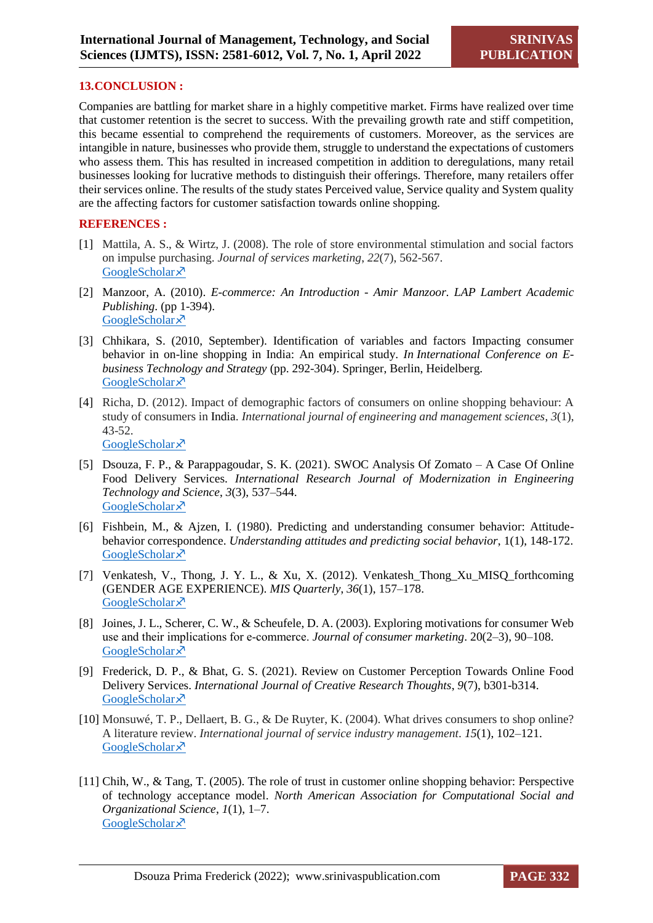### **13.CONCLUSION :**

Companies are battling for market share in a highly competitive market. Firms have realized over time that customer retention is the secret to success. With the prevailing growth rate and stiff competition, this became essential to comprehend the requirements of customers. Moreover, as the services are intangible in nature, businesses who provide them, struggle to understand the expectations of customers who assess them. This has resulted in increased competition in addition to deregulations, many retail businesses looking for lucrative methods to distinguish their offerings. Therefore, many retailers offer their services online. The results of the study states Perceived value, Service quality and System quality are the affecting factors for customer satisfaction towards online shopping.

#### **REFERENCES :**

- [1] Mattila, A. S., & Wirtz, J. (2008). The role of store environmental stimulation and social factors on impulse purchasing. *Journal of services marketing*, *22*(7), 562-567. [GoogleScholar](https://scholar.google.com/scholar?hl=en&as_sdt=0%2C5&q=The+role+of+store+environmental+stimulation+and+social+factors+on+impulse+purchasing&btnG=)<sup> $\lambda$ </sup>
- [2] Manzoor, A. (2010). *E-commerce: An Introduction - Amir Manzoor. LAP Lambert Academic Publishing*. (pp 1-394). [GoogleScholar](https://scholar.google.com/scholar?hl=en&as_sdt=0%2C5&q=%5B2%5D%09Manzoor%2C+A.+%282010%29.+E-commerce%3A+An+Introduction+-+Amir+Manzoor+-+Google+Books.+LAP+Lambert+Academic+Publishing.+&btnG=)<sup> $\lambda$ </sup>
- [3] Chhikara, S. (2010, September). Identification of variables and factors Impacting consumer behavior in on-line shopping in India: An empirical study. *In International Conference on Ebusiness Technology and Strategy* (pp. 292-304). Springer, Berlin, Heidelberg. [GoogleScholar](https://scholar.google.com/scholar?hl=en&as_sdt=0%2C5&q=%5B3%5D%09Chhikara%2C+S.+%282010%29.+Identification+of+variables+and+factors+impacting+consumer+behavior+in+on-line+shopping+in+India%3A+An+empirical+study.+In+International+Conference+on+E-Business+Technology+and+Strategy%2C+113+CCIS%2C+292%E2%80%93304.+&btnG=)<sup> $x$ </sup>
- [4] Richa, D. (2012). Impact of demographic factors of consumers on online shopping behaviour: A study of consumers in India. *International journal of engineering and management sciences*, *3*(1), 43-52. [GoogleScholar](https://scholar.google.com/scholar?hl=en&as_sdt=0%2C5&q=%5B4%5D%09Dahiya%2C+R.+%282012%29.+Impact+of+demographic+factors+of+consumers+on+online+shopping+behaviour%3A+A+study+of+consumers+in+India.+International+Journal+of+Engineering+and+Management+Sciences%2C+3%281%29%2C+43%E2%80%9352.+&btnG=) ×
- [5] Dsouza, F. P., & Parappagoudar, S. K. (2021). SWOC Analysis Of Zomato A Case Of Online Food Delivery Services. *International Research Journal of Modernization in Engineering Technology and Science*, *3*(3), 537–544. [GoogleScholar](https://scholar.google.com/scholar?hl=en&as_sdt=0%2C5&q=%5B5%5D%09Dsouza%2C+F.+P.%2C+%26+Parappagoudar%2C+S.+K.+%282021b%29.+SWOC+Analysis+Of+Zomato+%E2%80%93+A+Case+Of+Online+Food+Delivery+Services.+International+Research+Journal+of+Modernization+in+Engineering+Technology+and+Science%2C+3%283%29%2C+537%E2%80%93544.&btnG=) ×<sup>7</sup>
- [6] Fishbein, M., & Ajzen, I. (1980). Predicting and understanding consumer behavior: Attitudebehavior correspondence. *Understanding attitudes and predicting social behavior*, 1(1), 148-172. [GoogleScholar](https://scholar.google.com/scholar?hl=en&as_sdt=0%2C5&q=Predicting+and+understanding+consumer+behavior%3A+Attitude-behavior+correspondence&btnG=)<sup> $\lambda$ </sup>
- [7] Venkatesh, V., Thong, J. Y. L., & Xu, X. (2012). Venkatesh\_Thong\_Xu\_MISQ\_forthcoming (GENDER AGE EXPERIENCE). *MIS Quarterly*, *36*(1), 157–178. [GoogleScholar](https://scholar.google.com/scholar?hl=en&as_sdt=0%2C5&q=%5B7%5D%09Venkatesh%2C+V.%2C+Thong%2C+J.+Y.+L.%2C+%26+Xu%2C+X.+%282012%29.+Venkatesh_Thong_Xu_MISQ_forthcoming+%28GENDER+AGE+EXPERIENCE%29.+MIS+Quarterly%2C+36%281%29%2C+157%E2%80%93178.&btnG=)<sup> $\lambda$ </sup>
- [8] Joines, J. L., Scherer, C. W., & Scheufele, D. A. (2003). Exploring motivations for consumer Web use and their implications for e‐commerce. *Journal of consumer marketing*. 20(2–3), 90–108. [GoogleScholar](https://scholar.google.com/scholar?hl=en&as_sdt=0%2C5&q=%5B8%5D%09Joines%2C+J.+L.%2C+Scherer%2C+C.+W.%2C+%26+Scheufele%2C+D.+A.+%282003%29.+Exploring+motivations+for+consumer+Web+use+and+their+implications+for+e-commerce.+Journal+of+Consumer+Marketing%2C+20%282%E2%80%933%29%2C+90%E2%80%93108.+&btnG=)<sup> $\lambda$ </sup>
- [9] Frederick, D. P., & Bhat, G. S. (2021). Review on Customer Perception Towards Online Food Delivery Services. *International Journal of Creative Research Thoughts*, *9*(7), b301-b314. [GoogleScholar](https://scholar.google.com/scholar?hl=en&as_sdt=0%2C5&q=%5B9%5D%09Frederick%2C+D.+P.%2C+%26+Bhat%2C+G.+S.+%282021%29.+Review+on+Customer+Perception+Towards+Online+Food+Delivery+Services.+International+Journal+of+Creative+Research+Thoughts%2C+9%287%29%2C+2320%E2%80%932882.+&btnG=)<sup> $\lambda$ </sup>
- [10] Monsuwé, T. P., Dellaert, B. G., & De Ruyter, K. (2004). What drives consumers to shop online? A literature review. *International journal of service industry management*. *15*(1), 102–121. [GoogleScholar](https://scholar.google.com/scholar?hl=en&as_sdt=0%2C5&q=What+drives+consumers+to+shop+online%3F+A+literature+review.+International+Journal+of+Service+Industry+Management%2C+15%281%29%2C+102%E2%80%93121.+&btnG=)<sup> $\bar{x}$ </sup>
- [11] Chih, W., & Tang, T. (2005). The role of trust in customer online shopping behavior: Perspective of technology acceptance model. *North American Association for Computational Social and Organizational Science*, *1*(1), 1–7. [GoogleScholar](https://scholar.google.com/scholar?hl=en&as_sdt=0%2C5&q=%5B11%5D%09Chih%2C+W.%2C+%26+Tang%2C+T.+%282005%29.+The+role+of+trust+in+customer+online+shopping+behavior%3A+Perspective+of+technology+acceptance+model.+North+American+Association+for+Computational+Social+and+Organizational+Science+%2C+1%281%29%2C+1%E2%80%937.+&btnG=)<sup> $x^7$ </sup>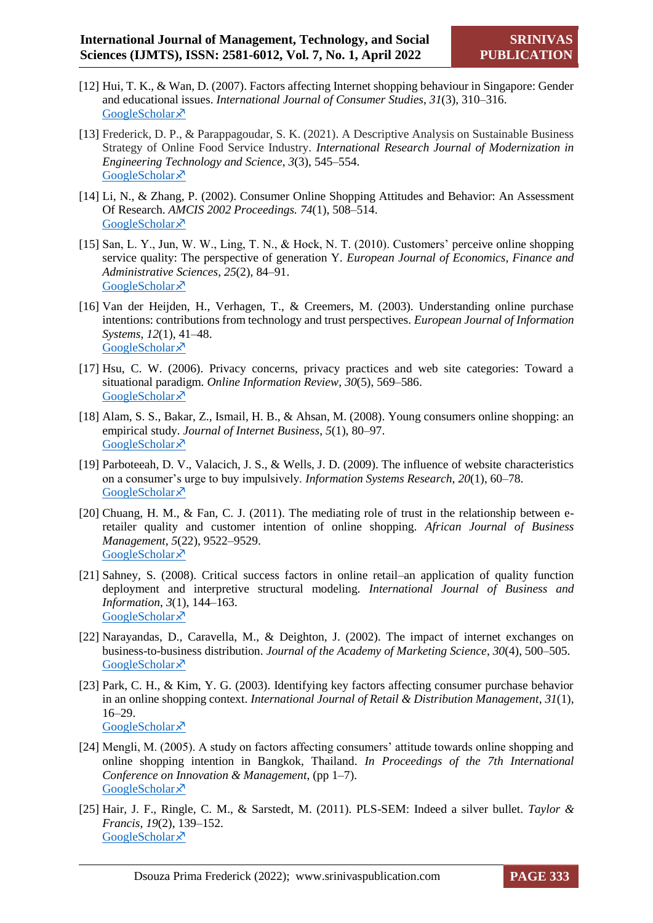- [12] Hui, T. K., & Wan, D. (2007). Factors affecting Internet shopping behaviour in Singapore: Gender and educational issues. *International Journal of Consumer Studies*, *31*(3), 310–316. [GoogleScholar](https://scholar.google.com/scholar?hl=en&as_sdt=0%2C5&q=%5B12%5D%09Hui%2C+T.+K.%2C+%26+Wan%2C+D.+%282007%29.+Factors+affecting+Internet+shopping+behaviour+in+Singapore%3A+Gender+and+educational+issues.+International+Journal+of+Consumer+Studies%2C+31%283%29%2C+310%E2%80%93316.+&btnG=) ×
- [13] Frederick, D. P., & Parappagoudar, S. K. (2021). A Descriptive Analysis on Sustainable Business Strategy of Online Food Service Industry. *International Research Journal of Modernization in Engineering Technology and Science*, *3*(3), 545–554. [GoogleScholar](https://scholar.google.com/scholar?hl=en&as_sdt=0%2C5&q=A+Descriptive+Analysis+On+Sustainable+Business+Strategy+Of+Online+Food+Service+Industry.+&btnG=)<sup> $\lambda$ </sup>
- [14] Li, N., & Zhang, P. (2002). Consumer Online Shopping Attitudes and Behavior: An Assessment Of Research. *AMCIS 2002 Proceedings. 74*(1), 508–514. [GoogleScholar](https://scholar.google.com/scholar?hl=en&as_sdt=0%2C5&q=%5B14%5D%09Li%2C+N.%2C+%26+Zhang%2C+P.+%282002%29.+CONSUMER+ONLINE+SHOPPING+ATTITUDES+AND+BEHAVIOR%3A+AN+ASSESSMENT+OF+RESEARCH.+AMCIS+2002+Proceedings%2C+508%E2%80%93514.+&btnG=)<sup>y</sup>
- [15] San, L. Y., Jun, W. W., Ling, T. N., & Hock, N. T. (2010). Customers' perceive online shopping service quality: The perspective of generation Y. *European Journal of Economics, Finance and Administrative Sciences*, *25*(2), 84–91. [GoogleScholar](https://scholar.google.com/scholar?hl=en&as_sdt=0%2C5&q=%5B15%5D%09San%2C+L.+Y.%2C+Jun%2C+W.+W.%2C+Ling%2C+T.+N.%2C+%26+Hock%2C+N.+T.+%282010%29.+Customers%E2%80%99+perceive+online+shopping+service+quality%3A+The+perspective+of+generation+Y.+.+European+Journal+of+Economics%2C+Finance+and+Administrative+Sciences%2C+25%282%29%2C+84%E2%80%9391.+&btnG=)<sup> $\lambda$ </sup>
- [16] Van der Heijden, H., Verhagen, T., & Creemers, M. (2003). Understanding online purchase intentions: contributions from technology and trust perspectives. *European Journal of Information Systems*, *12*(1), 41–48. [GoogleScholar](https://scholar.google.com/scholar?hl=en&as_sdt=0%2C5&q=%5B16%5D%09Van+der+Heijden%2C+H.%2C+Verhagen%2C+T.%2C+%26+Creemers%2C+M.+%282003%29.+Understanding+online+purchase+intentions%3A+contributions+from+technology+and+trust+perspectives.+European+Journal+of+Information+Systems%2C+12%281%29%2C+41%E2%80%9348.+&btnG=)<sup> $\bar{x}$ </sup>
- [17] Hsu, C. W. (2006). Privacy concerns, privacy practices and web site categories: Toward a situational paradigm. *Online Information Review*, *30*(5), 569–586. [GoogleScholar](https://scholar.google.com/scholar?hl=en&as_sdt=0%2C5&q=%5B17%5D%09Hsu%2C+C.+W.+%282006%29.+Privacy+concerns%2C+privacy+practices+and+web+site+categories%3A+Toward+a+situational+paradigm.+Online+Information+Review%2C+30%285%29%2C+569%E2%80%93586.+&btnG=) ×
- [18] Alam, S. S., Bakar, Z., Ismail, H. B., & Ahsan, M. (2008). Young consumers online shopping: an empirical study. *Journal of Internet Business*, *5*(1), 80–97. [GoogleScholar](https://scholar.google.com/scholar?hl=en&as_sdt=0%2C5&q=%5B18%5D%09Alam%2C+S.+S.%2C+Bakar%2C+Z.%2C+Ismail%2C+H.+B.%2C+%26+Ahsan%2C+M.+%282008%29.+Young+consumers+online+shopping%3A+an+empirical+study.+Journal+of+Internet+Business%2C+5%281%29%2C+80%E2%80%9397.+&btnG=)<sup> $\lambda$ </sup>
- [19] Parboteeah, D. V., Valacich, J. S., & Wells, J. D. (2009). The influence of website characteristics on a consumer's urge to buy impulsively. *Information Systems Research*, *20*(1), 60–78. [GoogleScholar](https://scholar.google.com/scholar?hl=en&as_sdt=0%2C5&q=%5B19%5D%09Parboteeah%2C+D.+V.%2C+Valacich%2C+J.+S.%2C+%26+Wells%2C+J.+D.+%282009%29.+The+influence+of+website+characteristics+on+a+consumer%E2%80%99s+urge+to+buy+impulsively.+Information+Systems+Research%2C+20%281%29%2C+60%E2%80%9378.+&btnG=)<sup> $\bar{x}$ </sup>
- [20] Chuang, H. M., & Fan, C. J. (2011). The mediating role of trust in the relationship between eretailer quality and customer intention of online shopping. *African Journal of Business Management*, *5*(22), 9522–9529. [GoogleScholar](https://scholar.google.com/scholar?hl=en&as_sdt=0%2C5&q=%5B20%5D%09Chuang%2C+H.+M.%2C+%26+Fan%2C+C.+J.+%282011%29.+The+mediating+role+of+trust+in+the+relationship+between+e-retailer+quality+and+customer+intention+of+online+shopping.+African+Journal+of+Business+Management%2C+5%2822%29%2C+9522%E2%80%939529.+&btnG=) ×
- [21] Sahney, S. (2008). Critical success factors in online retail–an application of quality function deployment and interpretive structural modeling. *International Journal of Business and Information*, *3*(1), 144–163. [GoogleScholar](https://scholar.google.com/scholar?hl=en&as_sdt=0%2C5&q=%5B21%5D%09Sahney%2C+S.+%282008%29.+Critical+success+factors+in+online+retail%E2%80%93an+application+of+quality+function+deployment+and+interpretive+structural+modeling.+International+Journal+of+Business+and+Information%2C+3%281%29%2C+144%E2%80%93163.+&btnG=)<sup>y</sup>
- [22] Narayandas, D., Caravella, M., & Deighton, J. (2002). The impact of internet exchanges on business-to-business distribution. *Journal of the Academy of Marketing Science*, *30*(4), 500–505. [GoogleScholar](https://scholar.google.com/scholar?hl=en&as_sdt=0%2C5&q=%5B22%5D%09Narayandas%2C+D.%2C+Caravella%2C+M.%2C+%26+Deighton%2C+J.+%282002%29.+The+impact+of+internet+exchanges+on+business-to-business+distribution.+Journal+of+the+Academy+of+Marketing+Science%2C+30%284%29%2C+500%E2%80%93505.+&btnG=)<sup>7</sup>
- [23] Park, C. H., & Kim, Y. G. (2003). Identifying key factors affecting consumer purchase behavior in an online shopping context. *International Journal of Retail & Distribution Management*, *31*(1), 16–29. [GoogleScholar](https://scholar.google.com/scholar?hl=en&as_sdt=0%2C5&q=%5B23%5D%09Park%2C+C.+H.%2C+%26+Kim%2C+Y.+G.+%282003%29.+Identifying+key+factors+affecting+consumer+purchase+behavior+in+an+online+shopping+context.+International+Journal+of+Retail+%26+Distribution+Management%2C+31%281%29%2C+16%E2%80%9329.+&btnG=)<sup>y</sup>
- [24] Mengli, M. (2005). A study on factors affecting consumers' attitude towards online shopping and online shopping intention in Bangkok, Thailand. *In Proceedings of the 7th International Conference on Innovation & Management*, (pp 1–7). [GoogleScholar](https://scholar.google.com/scholar?hl=en&as_sdt=0%2C5&q=%5B24%5D%09Mengli%2C+M.+%282005%29.+A+study+on+factors+affecting+consumers%E2%80%99+attitude+towards+online+shopping+and+online+shopping+intention+in+Bangkok%2C+Thailand.+In+Proceedings+of+the+7th+International+Conference+on+Innovation+%26+Management%2C+1%E2%80%937.+&btnG=) ×
- [25] Hair, J. F., Ringle, C. M., & Sarstedt, M. (2011). PLS-SEM: Indeed a silver bullet. *Taylor & Francis*, *19*(2), 139–152. [GoogleScholar](https://scholar.google.com/scholar?hl=en&as_sdt=0%2C5&q=%5B25%5D%09Hair%2C+J.+F.%2C+Ringle%2C+C.+M.%2C+%26+Sarstedt%2C+M.+%282011%29.+PLS-SEM%3A+Indeed+a+silver+bullet.+Taylor+%26+Francis%2C+19%282%29%2C+139%E2%80%93152.+&btnG=)<sup> $\lambda$ </sup>